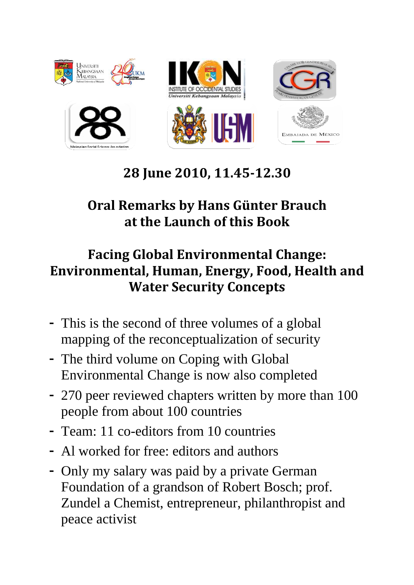

## 28 June 2010, 11.45-12.30

## Oral Remarks by Hans Günter Brauch at the Launch of this Book

## Facing Global Environmental Change: Environmental, Human, Energy, Food, Health and Water Security Concepts

- **-** This is the second of three volumes of a global mapping of the reconceptualization of security
- **-** The third volume on Coping with Global Environmental Change is now also completed
- **-** 270 peer reviewed chapters written by more than 100 people from about 100 countries
- **-** Team: 11 co-editors from 10 countries
- **-** Al worked for free: editors and authors
- **-** Only my salary was paid by a private German Foundation of a grandson of Robert Bosch; prof. Zundel a Chemist, entrepreneur, philanthropist and peace activist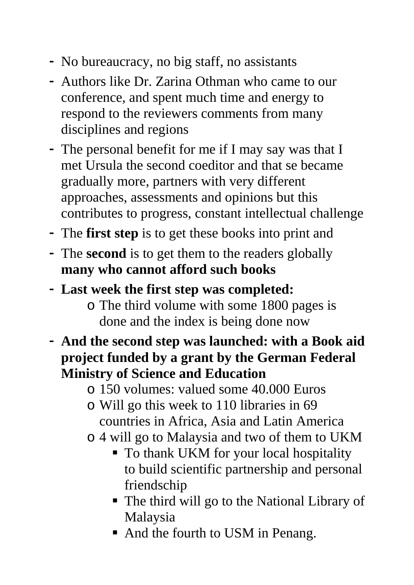- **-** No bureaucracy, no big staff, no assistants
- **-** Authors like Dr. Zarina Othman who came to our conference, and spent much time and energy to respond to the reviewers comments from many disciplines and regions
- **-** The personal benefit for me if I may say was that I met Ursula the second coeditor and that se became gradually more, partners with very different approaches, assessments and opinions but this contributes to progress, constant intellectual challenge
- **-** The **first step** is to get these books into print and
- **-** The **second** is to get them to the readers globally **many who cannot afford such books**
- **- Last week the first step was completed:** 
	- o The third volume with some 1800 pages is done and the index is being done now
- **- And the second step was launched: with a Book aid project funded by a grant by the German Federal Ministry of Science and Education** 
	- o 150 volumes: valued some 40.000 Euros
	- o Will go this week to 110 libraries in 69 countries in Africa, Asia and Latin America
	- o 4 will go to Malaysia and two of them to UKM
		- To thank UKM for your local hospitality to build scientific partnership and personal friendschip
		- The third will go to the National Library of Malaysia
		- And the fourth to USM in Penang.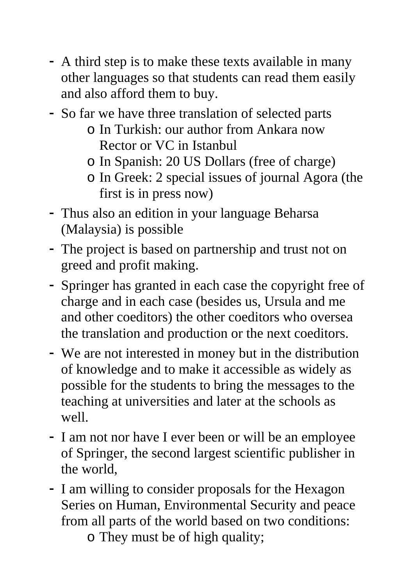- **-** A third step is to make these texts available in many other languages so that students can read them easily and also afford them to buy.
- **-** So far we have three translation of selected parts
	- o In Turkish: our author from Ankara now Rector or VC in Istanbul
	- o In Spanish: 20 US Dollars (free of charge)
	- o In Greek: 2 special issues of journal Agora (the first is in press now)
- **-** Thus also an edition in your language Beharsa (Malaysia) is possible
- **-** The project is based on partnership and trust not on greed and profit making.
- **-** Springer has granted in each case the copyright free of charge and in each case (besides us, Ursula and me and other coeditors) the other coeditors who oversea the translation and production or the next coeditors.
- **-** We are not interested in money but in the distribution of knowledge and to make it accessible as widely as possible for the students to bring the messages to the teaching at universities and later at the schools as well.
- **-** I am not nor have I ever been or will be an employee of Springer, the second largest scientific publisher in the world,
- **-** I am willing to consider proposals for the Hexagon Series on Human, Environmental Security and peace from all parts of the world based on two conditions:
	- o They must be of high quality;